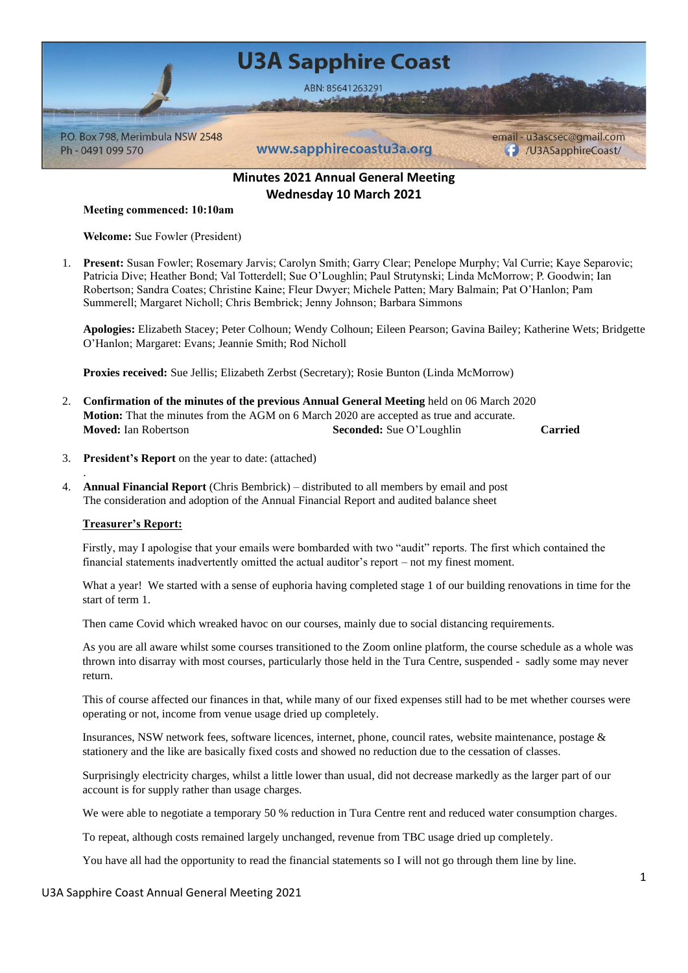

# **Minutes 2021 Annual General Meeting Wednesday 10 March 2021**

**Meeting commenced: 10:10am**

**Welcome:** Sue Fowler (President)

1. **Present:** Susan Fowler; Rosemary Jarvis; Carolyn Smith; Garry Clear; Penelope Murphy; Val Currie; Kaye Separovic; Patricia Dive; Heather Bond; Val Totterdell; Sue O'Loughlin; Paul Strutynski; Linda McMorrow; P. Goodwin; Ian Robertson; Sandra Coates; Christine Kaine; Fleur Dwyer; Michele Patten; Mary Balmain; Pat O'Hanlon; Pam Summerell; Margaret Nicholl; Chris Bembrick; Jenny Johnson; Barbara Simmons

**Apologies:** Elizabeth Stacey; Peter Colhoun; Wendy Colhoun; Eileen Pearson; Gavina Bailey; Katherine Wets; Bridgette O'Hanlon; Margaret: Evans; Jeannie Smith; Rod Nicholl

**Proxies received:** Sue Jellis; Elizabeth Zerbst (Secretary); Rosie Bunton (Linda McMorrow)

- 2. **Confirmation of the minutes of the previous Annual General Meeting** held on 06 March 2020 **Motion:** That the minutes from the AGM on 6 March 2020 are accepted as true and accurate. **Moved:** Ian Robertson **Seconded:** Sue O'Loughlin **Carried**
- 3. **President's Report** on the year to date: (attached)
- 4. **Annual Financial Report** (Chris Bembrick) distributed to all members by email and post The consideration and adoption of the Annual Financial Report and audited balance sheet

#### **Treasurer's Report:**

.

Firstly, may I apologise that your emails were bombarded with two "audit" reports. The first which contained the financial statements inadvertently omitted the actual auditor's report – not my finest moment.

What a year! We started with a sense of euphoria having completed stage 1 of our building renovations in time for the start of term 1.

Then came Covid which wreaked havoc on our courses, mainly due to social distancing requirements.

As you are all aware whilst some courses transitioned to the Zoom online platform, the course schedule as a whole was thrown into disarray with most courses, particularly those held in the Tura Centre, suspended - sadly some may never return.

This of course affected our finances in that, while many of our fixed expenses still had to be met whether courses were operating or not, income from venue usage dried up completely.

Insurances, NSW network fees, software licences, internet, phone, council rates, website maintenance, postage & stationery and the like are basically fixed costs and showed no reduction due to the cessation of classes.

Surprisingly electricity charges, whilst a little lower than usual, did not decrease markedly as the larger part of our account is for supply rather than usage charges.

We were able to negotiate a temporary 50 % reduction in Tura Centre rent and reduced water consumption charges.

To repeat, although costs remained largely unchanged, revenue from TBC usage dried up completely.

You have all had the opportunity to read the financial statements so I will not go through them line by line.

## U3A Sapphire Coast Annual General Meeting 2021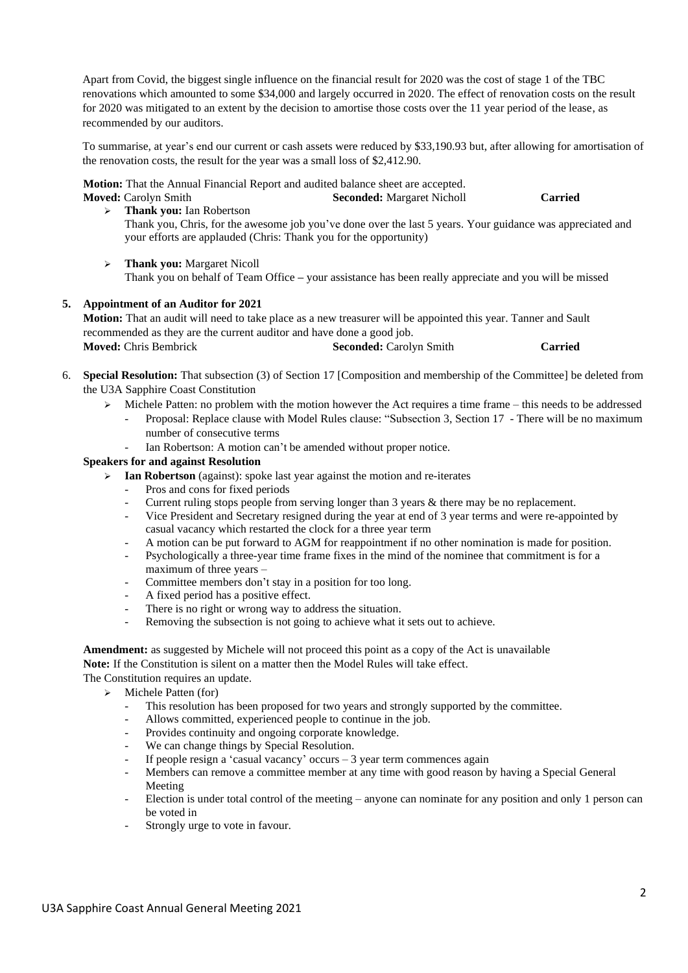Apart from Covid, the biggest single influence on the financial result for 2020 was the cost of stage 1 of the TBC renovations which amounted to some \$34,000 and largely occurred in 2020. The effect of renovation costs on the result for 2020 was mitigated to an extent by the decision to amortise those costs over the 11 year period of the lease, as recommended by our auditors.

To summarise, at year's end our current or cash assets were reduced by \$33,190.93 but, after allowing for amortisation of the renovation costs, the result for the year was a small loss of \$2,412.90.

**Motion:** That the Annual Financial Report and audited balance sheet are accepted. **Moved:** Carolyn Smith **Seconded:** Margaret Nicholl **Carried**

- 
- ➢ **Thank you:** Ian Robertson Thank you, Chris, for the awesome job you've done over the last 5 years. Your guidance was appreciated and your efforts are applauded (Chris: Thank you for the opportunity)
- ➢ **Thank you:** Margaret Nicoll Thank you on behalf of Team Office **–** your assistance has been really appreciate and you will be missed

## **5. Appointment of an Auditor for 2021**

**Motion:** That an audit will need to take place as a new treasurer will be appointed this year. Tanner and Sault recommended as they are the current auditor and have done a good job. **Moved:** Chris Bembrick **Seconded:** Carolyn Smith **Carried**

- 6. **Special Resolution:** That subsection (3) of Section 17 [Composition and membership of the Committee] be deleted from the U3A Sapphire Coast Constitution
	- ➢ Michele Patten: no problem with the motion however the Act requires a time frame this needs to be addressed - Proposal: Replace clause with Model Rules clause: "Subsection 3, Section 17 - There will be no maximum number of consecutive terms
		- Ian Robertson: A motion can't be amended without proper notice.

#### **Speakers for and against Resolution**

- Ian Robertson (against): spoke last year against the motion and re-iterates
	- Pros and cons for fixed periods
	- Current ruling stops people from serving longer than 3 years & there may be no replacement.
	- Vice President and Secretary resigned during the year at end of 3 year terms and were re-appointed by casual vacancy which restarted the clock for a three year term
	- A motion can be put forward to AGM for reappointment if no other nomination is made for position.
	- Psychologically a three-year time frame fixes in the mind of the nominee that commitment is for a maximum of three years –
	- Committee members don't stay in a position for too long.
	- A fixed period has a positive effect.
	- There is no right or wrong way to address the situation.
	- Removing the subsection is not going to achieve what it sets out to achieve.

**Amendment:** as suggested by Michele will not proceed this point as a copy of the Act is unavailable **Note:** If the Constitution is silent on a matter then the Model Rules will take effect. The Constitution requires an update.

- ➢ Michele Patten (for)
	- This resolution has been proposed for two years and strongly supported by the committee.
	- Allows committed, experienced people to continue in the job.
	- Provides continuity and ongoing corporate knowledge.
	- We can change things by Special Resolution.
	- If people resign a 'casual vacancy' occurs  $-3$  year term commences again
	- Members can remove a committee member at any time with good reason by having a Special General Meeting
	- Election is under total control of the meeting anyone can nominate for any position and only 1 person can be voted in
	- Strongly urge to vote in favour.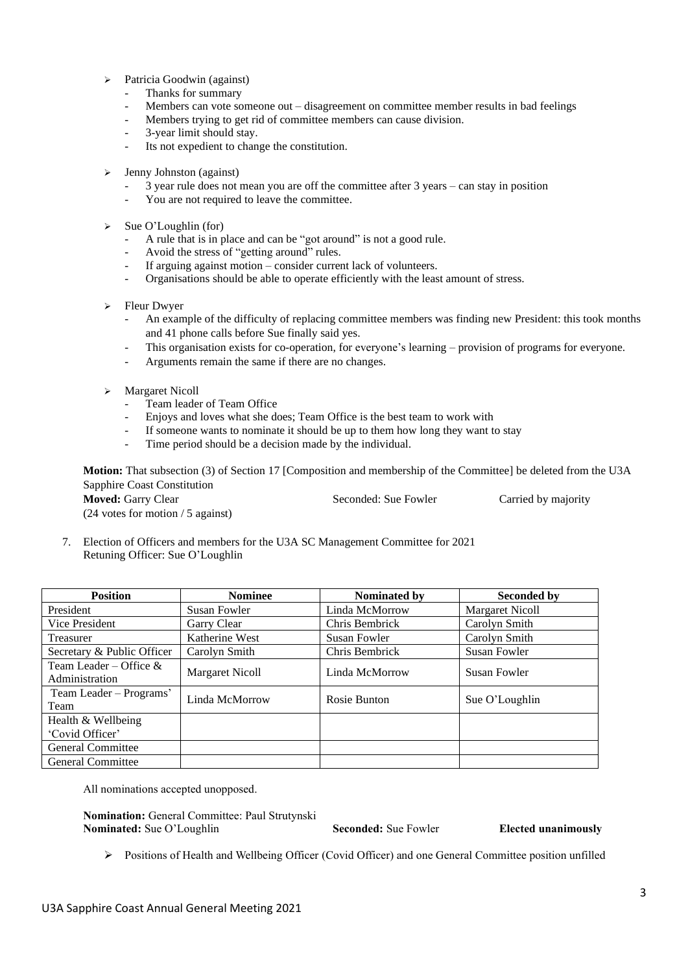- ➢ Patricia Goodwin (against)
	- Thanks for summary
	- Members can vote someone out disagreement on committee member results in bad feelings
	- Members trying to get rid of committee members can cause division.
	- 3-year limit should stay.
	- Its not expedient to change the constitution.
- ➢ Jenny Johnston (against)
	- $\overline{3}$  year rule does not mean you are off the committee after  $\overline{3}$  years can stay in position
	- You are not required to leave the committee.
- $\triangleright$  Sue O'Loughlin (for)
	- A rule that is in place and can be "got around" is not a good rule.
	- Avoid the stress of "getting around" rules.
	- If arguing against motion consider current lack of volunteers.
	- Organisations should be able to operate efficiently with the least amount of stress.
- ➢ Fleur Dwyer
	- An example of the difficulty of replacing committee members was finding new President: this took months and 41 phone calls before Sue finally said yes.
	- This organisation exists for co-operation, for everyone's learning provision of programs for everyone.
	- Arguments remain the same if there are no changes.
- ➢ Margaret Nicoll
	- Team leader of Team Office
	- Enjoys and loves what she does; Team Office is the best team to work with
	- If someone wants to nominate it should be up to them how long they want to stay
	- Time period should be a decision made by the individual.

**Motion:** That subsection (3) of Section 17 [Composition and membership of the Committee] be deleted from the U3A Sapphire Coast Constitution **Moved:** Garry Clear Seconded: Sue Fowler Carried by majority

(24 votes for motion / 5 against)

7. Election of Officers and members for the U3A SC Management Committee for 2021 Retuning Officer: Sue O'Loughlin

| <b>Position</b>                             | <b>Nominee</b>         | Nominated by        | Seconded by            |
|---------------------------------------------|------------------------|---------------------|------------------------|
| President                                   | Susan Fowler           | Linda McMorrow      | <b>Margaret Nicoll</b> |
| Vice President                              | Garry Clear            | Chris Bembrick      | Carolyn Smith          |
| Treasurer                                   | Katherine West         | <b>Susan Fowler</b> | Carolyn Smith          |
| Secretary & Public Officer                  | Carolyn Smith          | Chris Bembrick      | <b>Susan Fowler</b>    |
| Team Leader – Office $\&$<br>Administration | <b>Margaret Nicoll</b> | Linda McMorrow      | <b>Susan Fowler</b>    |
| Team Leader – Programs'<br>Team             | Linda McMorrow         | Rosie Bunton        | Sue O'Loughlin         |
| Health & Wellbeing                          |                        |                     |                        |
| 'Covid Officer'                             |                        |                     |                        |
| <b>General Committee</b>                    |                        |                     |                        |
| <b>General Committee</b>                    |                        |                     |                        |

All nominations accepted unopposed.

**Nomination:** General Committee: Paul Strutynski **Nominated:** Sue O'Loughlin **Seconded:** Sue Fowler **Elected unanimously**

➢ Positions of Health and Wellbeing Officer (Covid Officer) and one General Committee position unfilled